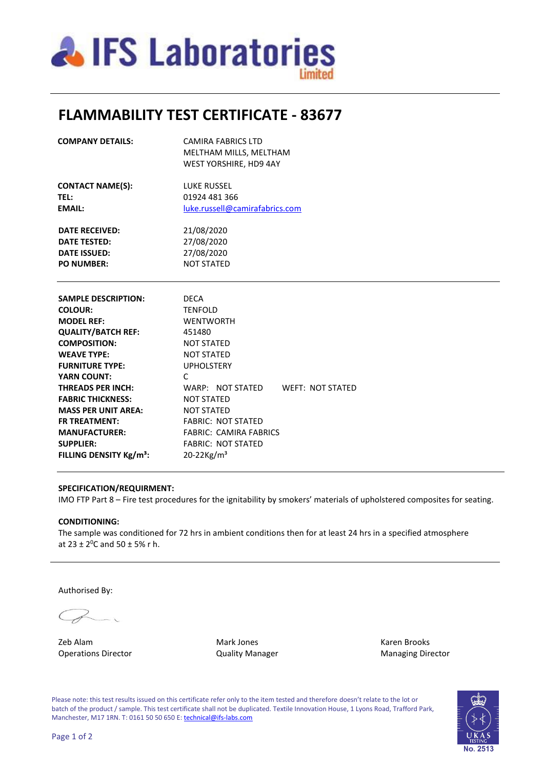

# **FLAMMABILITY TEST CERTIFICATE - 83677**

| <b>COMPANY DETAILS:</b>             | <b>CAMIRA FABRICS LTD</b><br>MELTHAM MILLS, MELTHAM |  |  |  |
|-------------------------------------|-----------------------------------------------------|--|--|--|
|                                     | WEST YORSHIRE, HD9 4AY                              |  |  |  |
| <b>CONTACT NAME(S):</b>             | <b>LUKE RUSSEL</b>                                  |  |  |  |
| TEL:                                | 01924 481 366                                       |  |  |  |
| <b>EMAIL:</b>                       | luke.russell@camirafabrics.com                      |  |  |  |
| <b>DATE RECEIVED:</b>               | 21/08/2020                                          |  |  |  |
| <b>DATE TESTED:</b>                 | 27/08/2020                                          |  |  |  |
| <b>DATE ISSUED:</b>                 | 27/08/2020                                          |  |  |  |
| <b>PO NUMBER:</b>                   | <b>NOT STATED</b>                                   |  |  |  |
|                                     |                                                     |  |  |  |
| <b>SAMPLE DESCRIPTION:</b>          | <b>DECA</b>                                         |  |  |  |
| <b>COLOUR:</b>                      | <b>TENFOLD</b>                                      |  |  |  |
| <b>MODEL REF:</b>                   | <b>WENTWORTH</b>                                    |  |  |  |
| <b>QUALITY/BATCH REF:</b>           | 451480                                              |  |  |  |
| <b>COMPOSITION:</b>                 | <b>NOT STATED</b>                                   |  |  |  |
| <b>WEAVE TYPE:</b>                  | <b>NOT STATED</b>                                   |  |  |  |
| <b>FURNITURE TYPE:</b>              | <b>UPHOLSTERY</b>                                   |  |  |  |
| <b>YARN COUNT:</b>                  | $\mathsf{C}$                                        |  |  |  |
| <b>THREADS PER INCH:</b>            | WARP: NOT STATED WEFT: NOT STATED                   |  |  |  |
| <b>FABRIC THICKNESS:</b>            | <b>NOT STATED</b>                                   |  |  |  |
| <b>MASS PER UNIT AREA:</b>          | <b>NOT STATED</b>                                   |  |  |  |
| <b>FR TREATMENT:</b>                | <b>FABRIC: NOT STATED</b>                           |  |  |  |
| <b>MANUFACTURER:</b>                | <b>FABRIC: CAMIRA FABRICS</b>                       |  |  |  |
| <b>SUPPLIER:</b>                    | <b>FABRIC: NOT STATED</b>                           |  |  |  |
| FILLING DENSITY Kg/m <sup>3</sup> : | $20 - 22$ Kg/m <sup>3</sup>                         |  |  |  |

### **SPECIFICATION/REQUIRMENT:**

IMO FTP Part 8 – Fire test procedures for the ignitability by smokers' materials of upholstered composites for seating.

## **CONDITIONING:**

The sample was conditioned for 72 hrs in ambient conditions then for at least 24 hrs in a specified atmosphere at  $23 \pm 2^0$ C and  $50 \pm 5$ % r h.

Authorised By:

zeb Alam **Mark Jones** Mark Jones **Karen Brooks** Operations Director **Contains Contains Contains Contains Contains Contains Contains Contains Contains Contains Contains Contains Contains Contains Contains Contains Contains Contains Contains Contains Contains Contains Con** 

Please note: this test results issued on this certificate refer only to the item tested and therefore doesn't relate to the lot or batch of the product / sample. This test certificate shall not be duplicated. Textile Innovation House, 1 Lyons Road, Trafford Park, Manchester, M17 1RN. T: 0161 50 50 650 E[: technical@ifs-labs.com](mailto:technical@ifs-labs.com)